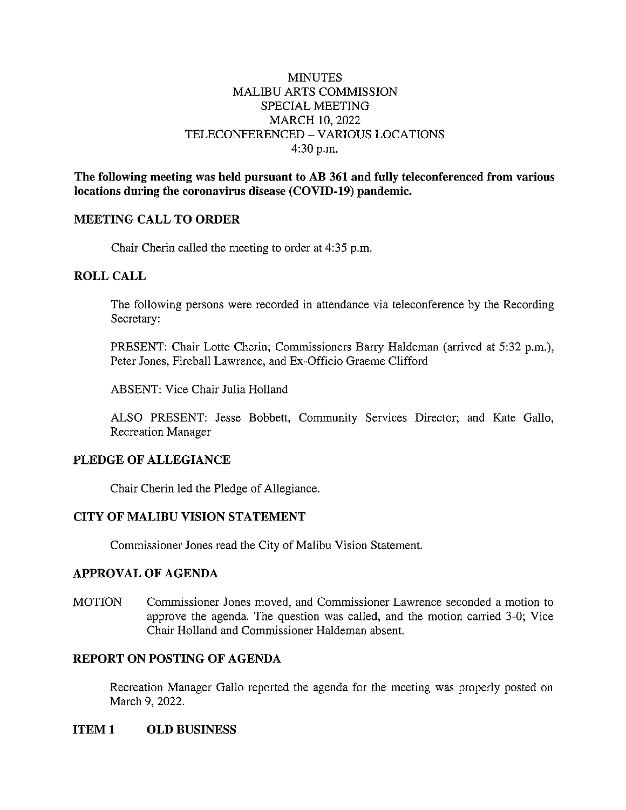## MINUTES MALIBU ARTS COMMISSION SPECIAL MEETING MARCH 10, 2022 TELECONFERENCED - VARIOUS LOCATIONS 4:30 p.m.

**The following meeting was held pursuant to AB 361 and fully teleconferenced from various locations during the coronavirus disease (COVID-19) pandemic.** 

#### **MEETING CALL TO ORDER**

Chair Cherin called the meeting to order at 4:35 p.m.

## **ROLL CALL**

The following persons were recorded in attendance via teleconference by the Recording Secretary:

PRESENT: Chair Lotte Cherin; Commissioners Barry Haldeman (arrived at 5:32 p.m.), Peter Jones, Fireball Lawrence, and Ex-Officio Graeme Clifford

ABSENT: Vice Chair Julia Holland

ALSO PRESENT: Jesse Bobbett, Community Services Director; and Kate Gallo, Recreation Manager

#### **PLEDGE OF ALLEGIANCE**

Chair Cherin led the Pledge of Allegiance.

# **CITY OF MALIBU VISION STATEMENT**

Commissioner Jones read the City of Malibu Vision Statement.

#### **APPROVAL OF AGENDA**

MOTION Commissioner Jones moved, and Commissioner Lawrence seconded a motion to approve the agenda. The question was called, and the motion carried 3-0; Vice Chair Holland and Commissioner Haldeman absent.

# **REPORT ON POSTING OF AGENDA**

Recreation Manager Gallo reported the agenda for the meeting was properly posted on March 9, 2022.

## **ITEM 1 OLD BUSINESS**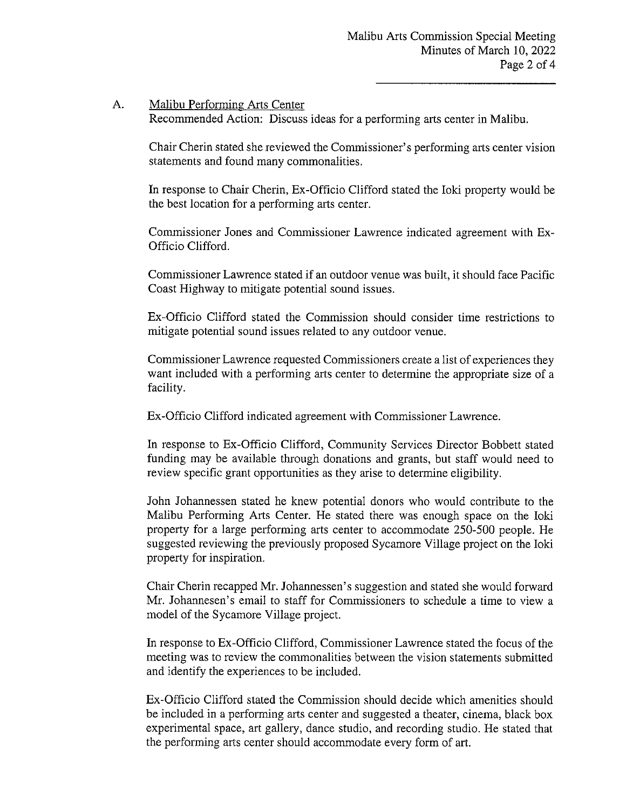### A. Malibu Performing Arts Center

Recommended Action: Discuss ideas for a performing arts center in Malibu.

Chair Cherin stated she reviewed the Commissioner's performing arts center vision statements and found many commonalities.

In response to Chair Cherin, Ex-Officio Clifford stated the Ioki property would be the best location for a performing arts center.

Commissioner Jones and Commissioner Lawrence indicated agreement with Ex-Officio Clifford.

Commissioner Lawrence stated if an outdoor venue was built, it should face Pacific Coast Highway to mitigate potential sound issues.

Ex-Officio Clifford stated the Commission should consider time restrictions to mitigate potential sound issues related to any outdoor venue.

Commissioner Lawrence requested Commissioners create a list of experiences they want included with a performing arts center to determine the appropriate size of a facility.

Ex-Officio Clifford indicated agreement with Commissioner Lawrence.

In response to Ex-Officio Clifford, Community Services Director Bobbett stated funding may be available through donations and grants, but staff would need to review specific grant opportunities as they arise to determine eligibility.

John Johannessen stated he knew potential donors who would contribute to the Malibu Performing Arts Center. He stated there was enough space on the Ioki property for a large performing arts center to accommodate 250-500 people. He suggested reviewing the previously proposed Sycamore Village project on the Ioki property for inspiration.

Chair Cherin recapped Mr. Johannessen' s suggestion and stated she would forward Mr. Johannesen's email to staff for Commissioners to schedule a time to view a model of the Sycamore Village project.

In response to Ex-Officio Clifford, Commissioner Lawrence stated the focus of the meeting was to review the commonalities between the vision statements submitted and identify the experiences to be included.

Ex-Officio Clifford stated the Commission should decide which amenities should be included in a performing arts center and suggested a theater, cinema, black box experimental space, art gallery, dance studio, and recording studio. He stated that the performing arts center should accommodate every form of art.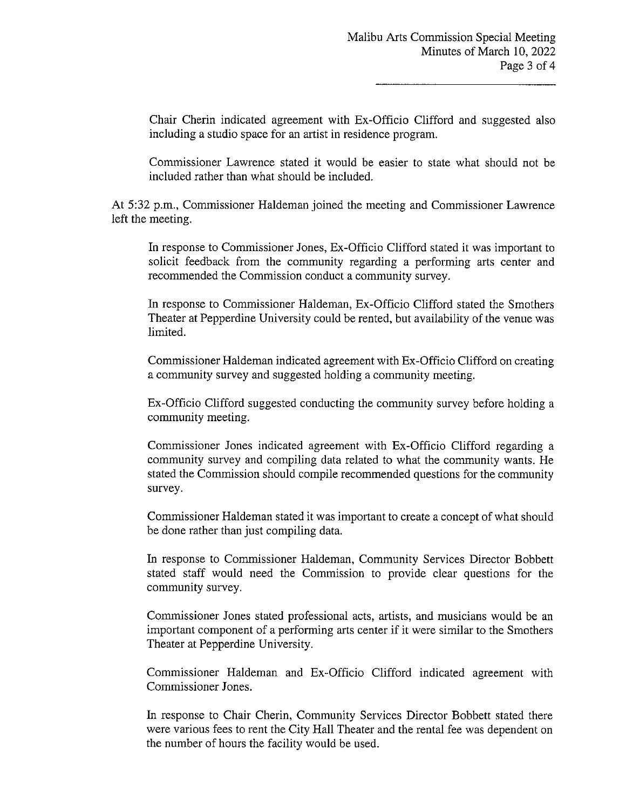Chair Cherin indicated agreement with Ex-Officio Clifford and suggested also including a studio space for an artist in residence program.

Commissioner Lawrence stated it would be easier to state what should not be included rather than what should be included.

At 5:32 p.m., Commissioner Haldeman joined the meeting and Commissioner Lawrence left the meeting.

In response to Commissioner Jones, Ex-Officio Clifford stated it was important to solicit feedback from the community regarding a performing arts center and recommended the Commission conduct a community survey.

In response to Commissioner Haldeman, Ex-Officio Clifford stated the Smothers Theater at Pepperdine University could be rented, but availability of the venue was limited.

Commissioner Haldeman indicated agreement with Ex-Officio Clifford on creating a community survey and suggested holding a community meeting.

Ex-Officio Clifford suggested conducting the community survey before holding a community meeting.

Commissioner Jones indicated agreement with Ex-Officio Clifford regarding a community survey and compiling data related to what the community wants. He stated the Commission should compile recommended questions for the community survey.

Commissioner Haldeman stated it was important to create a concept of what should be done rather than just compiling data.

In response to Commissioner Haldeman, Community Services Director Bobbett stated staff would need the Commission to provide clear questions for the community survey.

Commissioner Jones stated professional acts, artists, and musicians would be an important component of a performing arts center if it were similar to the Smothers Theater at Pepperdine University.

Commissioner Haldeman and Ex-Officio Clifford indicated agreement with Commissioner Jones.

In response to Chair Cherin, Community Services Director Bobbett stated there were various fees to rent the City Hall Theater and the rental fee was dependent on the number of hours the facility would be used.